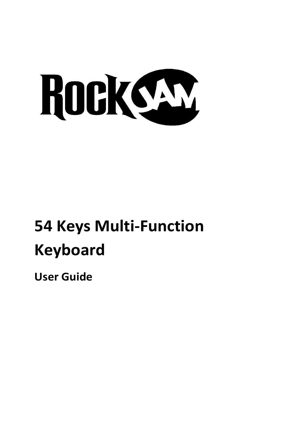

# **54 Keys Multi-Function Keyboard**

**User Guide**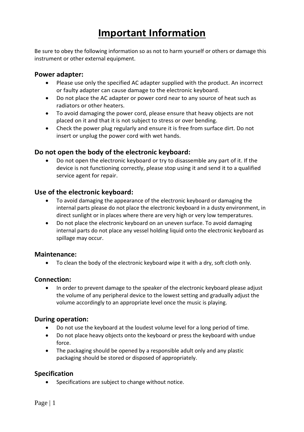## **Important Information**

Be sure to obey the following information so as not to harm yourself or others or damage this instrument or other external equipment.

#### **Power adapter:**

- Please use only the specified AC adapter supplied with the product. An incorrect or faulty adapter can cause damage to the electronic keyboard.
- Do not place the AC adapter or power cord near to any source of heat such as radiators or other heaters.
- To avoid damaging the power cord, please ensure that heavy objects are not placed on it and that it is not subject to stress or over bending.
- Check the power plug regularly and ensure it is free from surface dirt. Do not insert or unplug the power cord with wet hands.

#### **Do not open the body of the electronic keyboard:**

• Do not open the electronic keyboard or try to disassemble any part of it. If the device is not functioning correctly, please stop using it and send it to a qualified service agent for repair.

#### **Use of the electronic keyboard:**

- To avoid damaging the appearance of the electronic keyboard or damaging the internal parts please do not place the electronic keyboard in a dusty environment, in direct sunlight or in places where there are very high or very low temperatures.
- Do not place the electronic keyboard on an uneven surface. To avoid damaging internal parts do not place any vessel holding liquid onto the electronic keyboard as spillage may occur.

#### **Maintenance:**

• To clean the body of the electronic keyboard wipe it with a dry, soft cloth only.

#### **Connection:**

• In order to prevent damage to the speaker of the electronic keyboard please adjust the volume of any peripheral device to the lowest setting and gradually adjust the volume accordingly to an appropriate level once the music is playing.

#### **During operation:**

- Do not use the keyboard at the loudest volume level for a long period of time.
- Do not place heavy objects onto the keyboard or press the keyboard with undue force.
- The packaging should be opened by a responsible adult only and any plastic packaging should be stored or disposed of appropriately.

#### **Specification**

Specifications are subject to change without notice.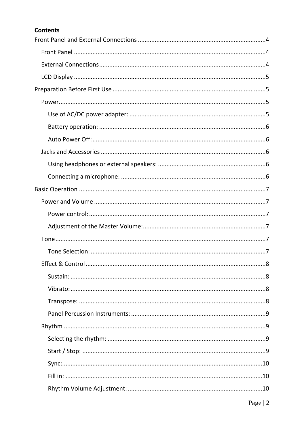#### **Contents**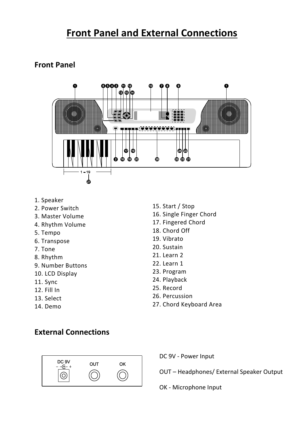## <span id="page-4-0"></span>**Front Panel and External Connections**

### <span id="page-4-1"></span>**Front Panel**



- 1. Speaker
- 2. Power Switch
- 3. Master Volume
- 4. Rhythm Volume
- 5. Tempo
- 6. Transpose
- 7. Tone
- 8. Rhythm
- 9. Number Buttons
- 10. LCD Display
- 11. Sync
- 12. Fill In
- 13. Select
- 14. Demo
- 15. Start / Stop
- 16. Single Finger Chord
- 17. Fingered Chord
- 18. Chord Off
- 19. Vibrato
- 20. Sustain
- 21. Learn 2
- 22. Learn 1
- 23. Program
- 24. Playback
- 25. Record
- 26. Percussion
- 27. Chord Keyboard Area

### <span id="page-4-2"></span>**External Connections**



DC 9V - Power Input

OUT – Headphones/ External Speaker Output

OK - Microphone Input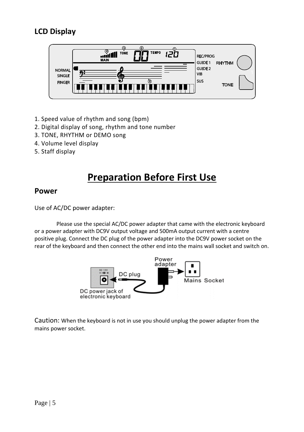## <span id="page-5-0"></span>**LCD Display**



- 1. Speed value of rhythm and song (bpm)
- 2. Digital display of song, rhythm and tone number
- 3. TONE, RHYTHM or DEMO song
- 4. Volume level display
- <span id="page-5-1"></span>5. Staff display

## **Preparation Before First Use**

### <span id="page-5-2"></span>**Power**

<span id="page-5-3"></span>Use of AC/DC power adapter:

Please use the special AC/DC power adapter that came with the electronic keyboard or a power adapter with DC9V output voltage and 500mA output current with a centre positive plug. Connect the DC plug of the power adapter into the DC9V power socket on the rear of the keyboard and then connect the other end into the mains wall socket and switch on.



Caution: When the keyboard is not in use you should unplug the power adapter from the mains power socket.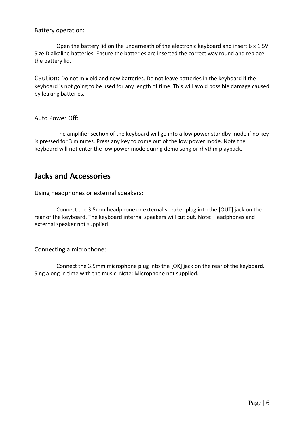<span id="page-6-0"></span>Battery operation:

Open the battery lid on the underneath of the electronic keyboard and insert 6 x 1.5V Size D alkaline batteries. Ensure the batteries are inserted the correct way round and replace the battery lid.

Caution: Do not mix old and new batteries. Do not leave batteries in the keyboard if the keyboard is not going to be used for any length of time. This will avoid possible damage caused by leaking batteries.

<span id="page-6-1"></span>Auto Power Off:

The amplifier section of the keyboard will go into a low power standby mode if no key is pressed for 3 minutes. Press any key to come out of the low power mode. Note the keyboard will not enter the low power mode during demo song or rhythm playback.

### <span id="page-6-2"></span>**Jacks and Accessories**

<span id="page-6-3"></span>Using headphones or external speakers:

Connect the 3.5mm headphone or external speaker plug into the [OUT] jack on the rear of the keyboard. The keyboard internal speakers will cut out. Note: Headphones and external speaker not supplied.

<span id="page-6-4"></span>Connecting a microphone:

Connect the 3.5mm microphone plug into the [OK] jack on the rear of the keyboard. Sing along in time with the music. Note: Microphone not supplied.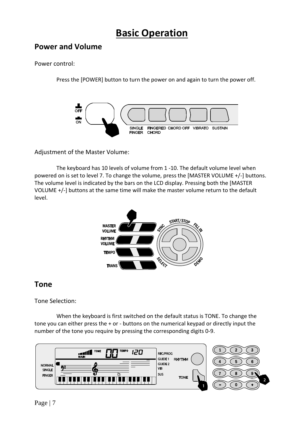## **Basic Operation**

### <span id="page-7-1"></span><span id="page-7-0"></span>**Power and Volume**

#### <span id="page-7-2"></span>Power control:

Press the [POWER] button to turn the power on and again to turn the power off.



<span id="page-7-3"></span>Adjustment of the Master Volume:

The keyboard has 10 levels of volume from 1 -10. The default volume level when powered on is set to level 7. To change the volume, press the [MASTER VOLUME +/-] buttons. The volume level is indicated by the bars on the LCD display. Pressing both the [MASTER VOLUME +/-] buttons at the same time will make the master volume return to the default level.



### <span id="page-7-4"></span>**Tone**

#### <span id="page-7-5"></span>Tone Selection:

When the keyboard is first switched on the default status is TONE. To change the tone you can either press the + or - buttons on the numerical keypad or directly input the number of the tone you require by pressing the corresponding digits 0-9.

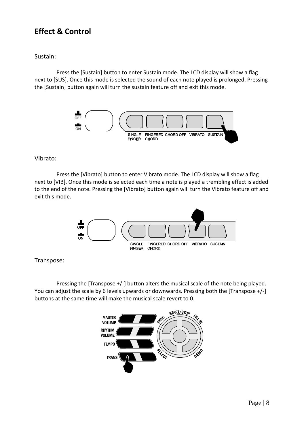### <span id="page-8-0"></span>**Effect & Control**

#### <span id="page-8-1"></span>Sustain:

Press the [Sustain] button to enter Sustain mode. The LCD display will show a flag next to [SUS]. Once this mode is selected the sound of each note played is prolonged. Pressing the [Sustain] button again will turn the sustain feature off and exit this mode.



#### <span id="page-8-2"></span>Vibrato:

Press the [Vibrato] button to enter Vibrato mode. The LCD display will show a flag next to [VIB]. Once this mode is selected each time a note is played a trembling effect is added to the end of the note. Pressing the [Vibrato] button again will turn the Vibrato feature off and exit this mode.



#### <span id="page-8-3"></span>Transpose:

Pressing the [Transpose +/-] button alters the musical scale of the note being played. You can adjust the scale by 6 levels upwards or downwards. Pressing both the [Transpose +/-] buttons at the same time will make the musical scale revert to 0.

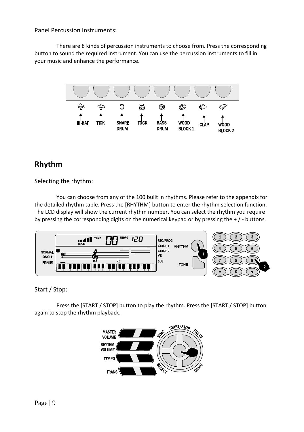<span id="page-9-0"></span>Panel Percussion Instruments:

There are 8 kinds of percussion instruments to choose from. Press the corresponding button to sound the required instrument. You can use the percussion instruments to fill in your music and enhance the performance.



### <span id="page-9-1"></span>**Rhythm**

<span id="page-9-2"></span>Selecting the rhythm:

You can choose from any of the 100 built in rhythms. Please refer to the appendix for the detailed rhythm table. Press the [RHYTHM] button to enter the rhythm selection function. The LCD display will show the current rhythm number. You can select the rhythm you require by pressing the corresponding digits on the numerical keypad or by pressing the + / - buttons.



<span id="page-9-3"></span>Start / Stop:

Press the [START / STOP] button to play the rhythm. Press the [START / STOP] button again to stop the rhythm playback.

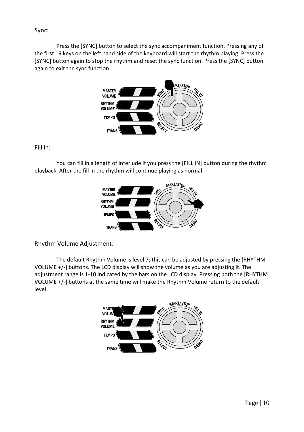#### <span id="page-10-0"></span>Sync:

Press the [SYNC] button to select the sync accompaniment function. Pressing any of the first 19 keys on the left hand side of the keyboard will start the rhythm playing. Press the [SYNC] button again to stop the rhythm and reset the sync function. Press the [SYNC] button again to exit the sync function.



<span id="page-10-1"></span>Fill in:

You can fill in a length of interlude if you press the [FILL IN] button during the rhythm playback. After the fill in the rhythm will continue playing as normal.



<span id="page-10-2"></span>Rhythm Volume Adjustment:

The default Rhythm Volume is level 7; this can be adjusted by pressing the [RHYTHM VOLUME +/-] buttons. The LCD display will show the volume as you are adjusting it. The adjustment range is 1-10 indicated by the bars on the LCD display. Pressing both the [RHYTHM VOLUME +/-] buttons at the same time will make the Rhythm Volume return to the default level.

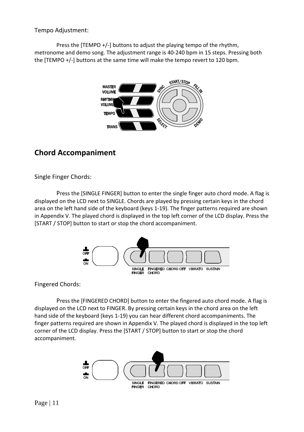<span id="page-11-0"></span>Tempo Adjustment:

Press the [TEMPO +/-] buttons to adjust the playing tempo of the rhythm, metronome and demo song. The adjustment range is 40-240 bpm in 15 steps. Pressing both the [TEMPO +/-] buttons at the same time will make the tempo revert to 120 bpm.



## <span id="page-11-1"></span>**Chord Accompaniment**

<span id="page-11-2"></span>Single Finger Chords:

Press the [SINGLE FINGER] button to enter the single finger auto chord mode. A flag is displayed on the LCD next to SINGLE. Chords are played by pressing certain keys in the chord area on the left hand side of the keyboard (keys 1-19). The finger patterns required are shown in Appendix V. The played chord is displayed in the top left corner of the LCD display. Press the [START / STOP] button to start or stop the chord accompaniment.



<span id="page-11-3"></span>Fingered Chords:

Press the [FINGERED CHORD] button to enter the fingered auto chord mode. A flag is displayed on the LCD next to FINGER. By pressing certain keys in the chord area on the left hand side of the keyboard (keys 1-19) you can hear different chord accompaniments. The finger patterns required are shown in Appendix V. The played chord is displayed in the top left corner of the LCD display. Press the [START / STOP] button to start or stop the chord accompaniment.

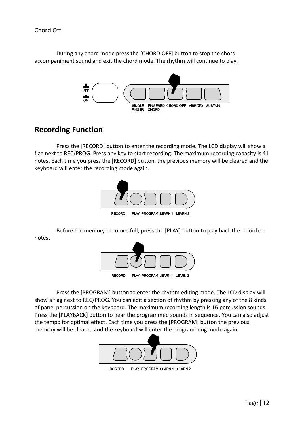<span id="page-12-0"></span>Chord Off:

During any chord mode press the [CHORD OFF] button to stop the chord accompaniment sound and exit the chord mode. The rhythm will continue to play.



### <span id="page-12-1"></span>**Recording Function**

Press the [RECORD] button to enter the recording mode. The LCD display will show a flag next to REC/PROG. Press any key to start recording. The maximum recording capacity is 41 notes. Each time you press the [RECORD] button, the previous memory will be cleared and the keyboard will enter the recording mode again.



Before the memory becomes full, press the [PLAY] button to play back the recorded notes.



Press the [PROGRAM] button to enter the rhythm editing mode. The LCD display will show a flag next to REC/PROG. You can edit a section of rhythm by pressing any of the 8 kinds of panel percussion on the keyboard. The maximum recording length is 16 percussion sounds. Press the [PLAYBACK] button to hear the programmed sounds in sequence. You can also adjust the tempo for optimal effect. Each time you press the [PROGRAM] button the previous memory will be cleared and the keyboard will enter the programming mode again.

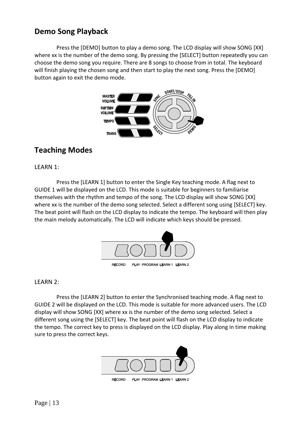### <span id="page-13-0"></span>**Demo Song Playback**

Press the [DEMO] button to play a demo song. The LCD display will show SONG [XX] where xx is the number of the demo song. By pressing the [SELECT] button repeatedly you can choose the demo song you require. There are 8 songs to choose from in total. The keyboard will finish playing the chosen song and then start to play the next song. Press the [DEMO] button again to exit the demo mode.



### <span id="page-13-1"></span>**Teaching Modes**

<span id="page-13-2"></span>LEARN 1:

Press the [LEARN 1] button to enter the Single Key teaching mode. A flag next to GUIDE 1 will be displayed on the LCD. This mode is suitable for beginners to familiarise themselves with the rhythm and tempo of the song. The LCD display will show SONG [XX] where xx is the number of the demo song selected. Select a different song using [SELECT] key. The beat point will flash on the LCD display to indicate the tempo. The keyboard will then play the main melody automatically. The LCD will indicate which keys should be pressed.



<span id="page-13-3"></span>LEARN 2:

Press the [LEARN 2] button to enter the Synchronised teaching mode. A flag next to GUIDE 2 will be displayed on the LCD. This mode is suitable for more advanced users. The LCD display will show SONG [XX] where xx is the number of the demo song selected. Select a different song using the [SELECT] key. The beat point will flash on the LCD display to indicate the tempo. The correct key to press is displayed on the LCD display. Play along in time making sure to press the correct keys.

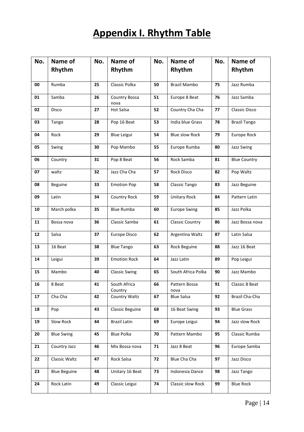## **Appendix I. Rhythm Table**

<span id="page-14-0"></span>

| No. | Name of             | No. | Name of                 | No. | Name of<br>No.         |    | Name of             |  |
|-----|---------------------|-----|-------------------------|-----|------------------------|----|---------------------|--|
|     | Rhythm              |     | Rhythm                  |     | Rhythm                 |    | Rhythm              |  |
| 00  | Rumba               | 25  | Classic Polka           | 50  | Brazil Mambo<br>75     |    | Jazz Rumba          |  |
| 01  | Samba               | 26  | Country Bossa<br>nova   | 51  | Europe 8 Beat<br>76    |    | Jazz Samba          |  |
| 02  | Disco               | 27  | Hot Salsa               | 52  | Country Cha Cha        | 77 | Classic Disco       |  |
| 03  | Tango               | 28  | Pop 16 Beat             | 53  | India blue Grass       | 78 | <b>Brazil Tango</b> |  |
| 04  | Rock                | 29  | Blue Leigui             | 54  | <b>Blue slow Rock</b>  | 79 | Europe Rock         |  |
| 05  | Swing               | 30  | Pop Mambo               | 55  | Europe Rumba           | 80 | <b>Jazz Swing</b>   |  |
| 06  | Country             | 31  | Pop 8 Beat              | 56  | Rock Samba             | 81 |                     |  |
| 07  | waltz               | 32  | Jazz Cha Cha            | 57  | Rock Disco             | 82 | Pop Waltz           |  |
| 08  | <b>Beguine</b>      | 33  | <b>Emotion Pop</b>      | 58  | Classic Tango          | 83 | Jazz Beguine        |  |
| 09  | Latin               | 34  | <b>Country Rock</b>     | 59  | Unitary Rock           | 84 | Pattern Latin       |  |
| 10  | March polka         | 35  | <b>Blue Rumba</b>       | 60  | <b>Europe Swing</b>    | 85 | Jazz Polka          |  |
| 11  | Bossa nova          | 36  | Classic Samba           | 61  | <b>Classic Country</b> | 86 |                     |  |
| 12  | Salsa               | 37  | Europe Disco            | 62  | Argentina Waltz        | 87 | Latin Salsa         |  |
| 13  | 16 Beat             | 38  | <b>Blue Tango</b>       | 63  | Rock Beguine           | 88 | Jazz 16 Beat        |  |
| 14  | Leigui              | 39  | <b>Emotion Rock</b>     | 64  | Jazz Latin             | 89 | Pop Leigui          |  |
| 15  | Mambo               | 40  | <b>Classic Swing</b>    | 65  | South Africa Polka     | 90 | Jazz Mambo          |  |
| 16  | 8 Beat              | 41  | South Africa<br>Country | 66  | Pattern Bossa<br>nova  | 91 | Classic 8 Beat      |  |
| 17  | Cha Cha             | 42  | Country Waltz           | 67  | <b>Blue Salsa</b>      | 92 | Brazil Cha-Cha      |  |
| 18  | Pop                 | 43  | Classic Beguine         | 68  | 16 Beat Swing          | 93 | <b>Blue Grass</b>   |  |
| 19  | Slow Rock           | 44  | Brazil Latin            | 69  | Europe Leigui          | 94 | Jazz slow Rock      |  |
| 20  | <b>Blue Swing</b>   | 45  | Blue Polka              | 70  | Pattern Mambo          | 95 |                     |  |
| 21  | Country Jazz        | 46  | Mix Bossa nova          | 71  | Jazz 8 Beat            | 96 | Europe Samba        |  |
| 22  | Classic Waltz       | 47  | Rock Salsa              | 72  | Blue Cha Cha<br>97     |    | Jazz Disco          |  |
| 23  | <b>Blue Beguine</b> | 48  | Unitary 16 Beat         | 73  | Indonesia Dance        | 98 |                     |  |
| 24  | Rock Latin          | 49  | Classic Leigui          | 74  | Classic slow Rock      | 99 | <b>Blue Rock</b>    |  |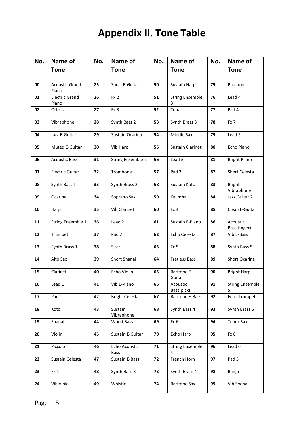## **Appendix II. Tone Table**

<span id="page-15-0"></span>

| No. | Name of                        | No. | Name of                      | No. | Name of                     | No.          | Name of                     |  |
|-----|--------------------------------|-----|------------------------------|-----|-----------------------------|--------------|-----------------------------|--|
|     | <b>Tone</b>                    |     | <b>Tone</b>                  |     | <b>Tone</b>                 |              | <b>Tone</b>                 |  |
|     |                                |     |                              |     |                             |              |                             |  |
| 00  | <b>Acoustic Grand</b><br>Piano | 25  | Short E-Guitar               | 50  | Sustain Harp                | 75           | Bassoon                     |  |
| 01  | <b>Electric Grand</b><br>Piano | 26  | Fx <sub>2</sub>              | 51  | <b>String Ensemble</b><br>3 | 76           | Lead 4                      |  |
| 02  | Celesta                        | 27  | Fx 3                         | 52  | Tuba                        | 77           | Pad 4                       |  |
| 03  | Vibraphone                     | 28  | Synth Bass 2                 | 53  | Synth Brass 3               | 78           | Fx 7                        |  |
| 04  | Jazz E-Guitar                  | 29  | Sustain Ocarina              | 54  | Middle Sax                  | 79           | Lead 5                      |  |
| 05  | Muted E-Guitar                 | 30  | Vib Harp                     | 55  | <b>Sustain Clarinet</b>     | 80           | Echo Piano                  |  |
| 06  | <b>Acoustic Bass</b>           | 31  | <b>String Ensemble 2</b>     | 56  | Lead 3                      | 81           | <b>Bright Piano</b>         |  |
| 07  | <b>Electric Guitar</b>         | 32  | Trombone                     | 57  | Pad 3                       | 82           | Short Celesta               |  |
| 08  | Synth Bass 1                   | 33  | Synth Brass 2                | 58  | Sustain Koto                | 83           | <b>Bright</b><br>Vibraphone |  |
| 09  | Ocarina                        | 34  | Soprano Sax                  | 59  | Kalimba                     | 84           | Jazz Guitar 2               |  |
| 10  | Harp                           | 35  | Vib Clarinet                 | 60  | Fx 4                        | 85           | Clean E-Guitar              |  |
| 11  | String Ensemble 1              | 36  | Lead 2                       | 61  | Sustain E-Piano             | 86           | Acoustic<br>Bass(finger)    |  |
| 12  | Trumpet                        | 37  | Pad <sub>2</sub>             | 62  | Echo Celesta                | 87           | Vib E-Bass                  |  |
| 13  | Synth Brass 1                  | 38  | Sitar                        | 63  | Fx <sub>5</sub>             | 88           | Synth Bass 5                |  |
| 14  | Alto Sax                       | 39  | Short Shanai                 | 64  | <b>Fretless Bass</b>        | 89           | Short Ocarina               |  |
| 15  | Clarinet                       | 40  | Echo Violin                  | 65  | Baritone E-<br>Guitar       | 90           | <b>Bright Harp</b>          |  |
| 16  | Lead 1                         | 41  | Vib E-Piano                  | 66  | Acoustic<br>Bass(pick)      | 91           | <b>String Ensemble</b>      |  |
| 17  | Pad 1                          | 42  | <b>Bright Celesta</b>        | 67  | <b>Baritone E-Bass</b>      | 92           | Echo Trumpet                |  |
| 18  | Koto                           | 43  | Sustain<br>Vibraphone        | 68  | Synth Bass 4                | 93           | Synth Brass 5               |  |
| 19  | Shanai                         | 44  | Wood Bass                    | 69  | Fx 6                        | 94           | <b>Tenor Sax</b>            |  |
| 20  | Violin                         | 45  | Sustain E-Guitar             | 70  | Echo Harp                   | 95<br>Fx 8   |                             |  |
| 21  | Piccolo                        | 46  | Echo Acoustic<br><b>Bass</b> | 71  | <b>String Ensemble</b><br>4 | Lead 6<br>96 |                             |  |
| 22  | Sustain Celesta                | 47  | Sustain E-Bass               | 72  | French Horn<br>97           |              | Pad 5                       |  |
| 23  | Fx 1                           | 48  | Synth Bass 3                 | 73  | Synth Brass 4               | 98           | Banjo                       |  |
| 24  | Vib Viola                      | 49  | Whistle                      | 74  | <b>Baritone Sax</b>         | 99           | Vib Shanai                  |  |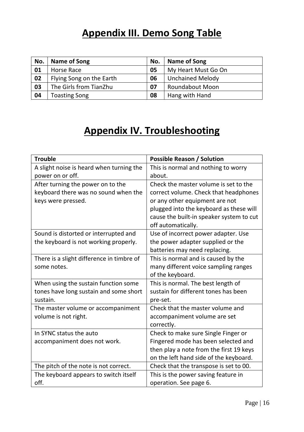## **Appendix III. Demo Song Table**

<span id="page-16-0"></span>

| No. | Name of Song             | No. | Name of Song            |
|-----|--------------------------|-----|-------------------------|
| 01  | Horse Race               | 05  | My Heart Must Go On     |
| 02  | Flying Song on the Earth | 06  | <b>Unchained Melody</b> |
| 03  | The Girls from TianZhu   | 07  | Roundabout Moon         |
| 04  | <b>Toasting Song</b>     | 08  | Hang with Hand          |

## **Appendix IV. Troubleshooting**

<span id="page-16-1"></span>

| <b>Trouble</b>                            | <b>Possible Reason / Solution</b>        |
|-------------------------------------------|------------------------------------------|
| A slight noise is heard when turning the  | This is normal and nothing to worry      |
| power on or off.                          | about.                                   |
| After turning the power on to the         | Check the master volume is set to the    |
| keyboard there was no sound when the      | correct volume. Check that headphones    |
| keys were pressed.                        | or any other equipment are not           |
|                                           | plugged into the keyboard as these will  |
|                                           | cause the built-in speaker system to cut |
|                                           | off automatically.                       |
| Sound is distorted or interrupted and     | Use of incorrect power adapter. Use      |
| the keyboard is not working properly.     | the power adapter supplied or the        |
|                                           | batteries may need replacing.            |
| There is a slight difference in timbre of | This is normal and is caused by the      |
| some notes.                               | many different voice sampling ranges     |
|                                           | of the keyboard.                         |
| When using the sustain function some      | This is normal. The best length of       |
| tones have long sustain and some short    | sustain for different tones has been     |
| sustain.                                  | pre-set.                                 |
| The master volume or accompaniment        | Check that the master volume and         |
| volume is not right.                      | accompaniment volume are set             |
|                                           | correctly.                               |
| In SYNC status the auto                   | Check to make sure Single Finger or      |
| accompaniment does not work.              | Fingered mode has been selected and      |
|                                           | then play a note from the first 19 keys  |
|                                           | on the left hand side of the keyboard.   |
| The pitch of the note is not correct.     | Check that the transpose is set to 00.   |
| The keyboard appears to switch itself     | This is the power saving feature in      |
| off.                                      | operation. See page 6.                   |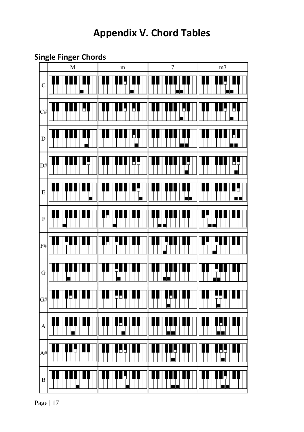## **Appendix V. Chord Tables**

### <span id="page-17-1"></span><span id="page-17-0"></span>**Single Finger Chords**



Page | 17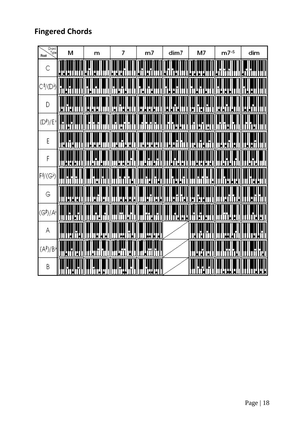## <span id="page-18-0"></span>**Fingered Chords**

| Chord<br>Type<br>Root             | м       | m       | 7            | m7                     | dim7     | M7           | $m7-5$  | dim                      |
|-----------------------------------|---------|---------|--------------|------------------------|----------|--------------|---------|--------------------------|
| С                                 | Ш<br>HІ | Ľ       | Н            |                        | Т        | IJЦ<br>НH    |         |                          |
| Cキ/(D♭)                           |         |         | ٦<br>Ш       | π.                     | Ÿ<br>O   | IJ           | ц       | Ш                        |
| D                                 | Ц       | IJ<br>Ļ | Ы            | Ц<br>Π<br>Ы            | L        | Ę<br>Η<br>ρ  |         | L                        |
| $(D^{\sharp})/E$                  |         |         |              |                        | IJ       | П<br>Ц       |         |                          |
| E                                 |         | L<br>H  | I            | Ц<br>Ъ<br>Н<br>Τ       | 7<br>IJ  |              | IJ<br>U | $\vec{\mathbf{H}}^{(1)}$ |
| F                                 | HН      | H       | IJ<br>Ц<br>Ŋ | C<br>ų                 | Ţ.<br>IJ | Ή<br>Ţ.<br>H |         | II.                      |
| F∜(G)                             |         |         |              |                        | ij       |              |         | H                        |
| G                                 | Ш<br>Н  | П<br>IJ | Д<br>Ц<br>П  | Ц<br>П<br>IJ<br>L<br>в | IJ<br>τμ | IJ<br>Ш      | Ц       | H                        |
| (G <sup>\$</sup> )/A <sup>)</sup> | J       |         | JI           |                        | 咖<br>ШI  | ij<br>IJІ    | H       | IJ<br>ĨΉ<br>П            |
| Α                                 | Ш       | ij<br>Ы | μ            | <u>HILL</u>            |          |              |         | IJ                       |
| $(A^{\sharp})/B^{\flat}$          |         |         | IJ           | ļ<br>φ.                |          |              |         |                          |
| Β                                 |         | ⊔       |              | !<br>T<br>JН<br>Н      |          |              | Ш       | Ц<br>ŋ                   |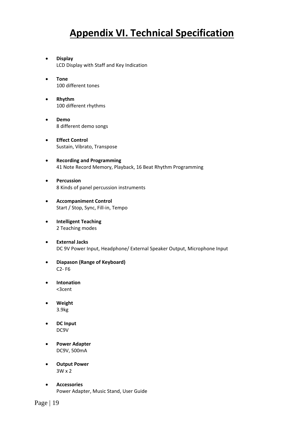## **Appendix VI. Technical Specification**

- <span id="page-19-0"></span>• **Display** LCD Display with Staff and Key Indication
- **Tone** 100 different tones
- **Rhythm** 100 different rhythms
- **Demo** 8 different demo songs
- **Effect Control** Sustain, Vibrato, Transpose
- **Recording and Programming** 41 Note Record Memory, Playback, 16 Beat Rhythm Programming
- **Percussion** 8 Kinds of panel percussion instruments
- **Accompaniment Control** Start / Stop, Sync, Fill-in, Tempo
- **Intelligent Teaching** 2 Teaching modes
- **External Jacks** DC 9V Power Input, Headphone/ External Speaker Output, Microphone Input
- **Diapason (Range of Keyboard)** C2- F6
- **Intonation** <3cent
- **Weight** 3.9kg
- **DC Input** DC9V
- **Power Adapter** DC9V, 500mA
- **Output Power** 3W x 2
- **Accessories** Power Adapter, Music Stand, User Guide